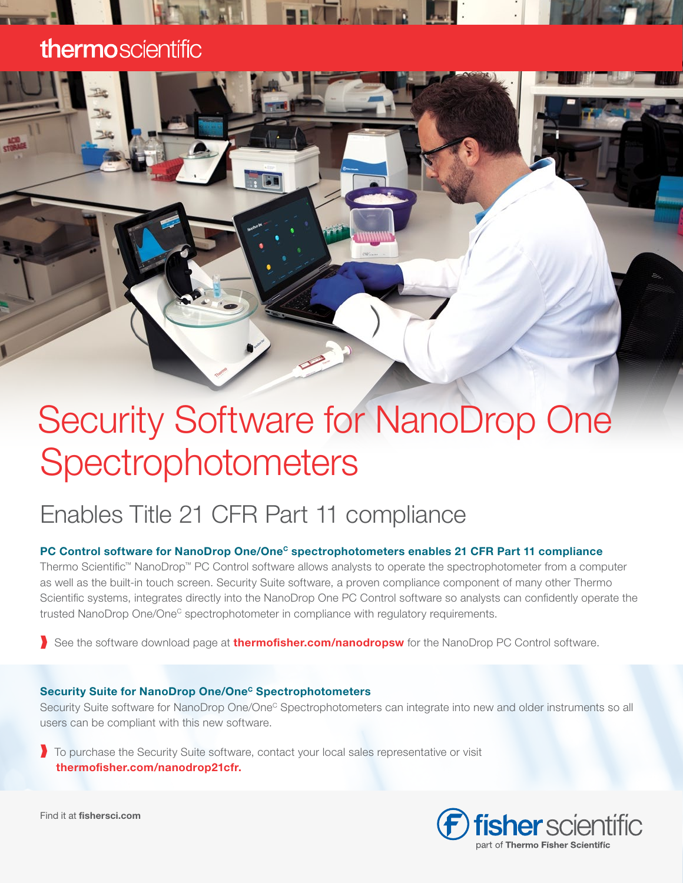### thermoscientific

# Security Software for NanoDrop One **Spectrophotometers**

### Enables Title 21 CFR Part 11 compliance

#### PC Control software for NanoDrop One/One<sup>c</sup> spectrophotometers enables 21 CFR Part 11 compliance

Thermo Scientific™ NanoDrop™ PC Control software allows analysts to operate the spectrophotometer from a computer as well as the built-in touch screen. Security Suite software, a proven compliance component of many other Thermo Scientific systems, integrates directly into the NanoDrop One PC Control software so analysts can confidently operate the trusted NanoDrop One/One<sup>c</sup> spectrophotometer in compliance with regulatory requirements.

See the software download page at **[thermofisher.com/nanodropsw](http://www.thermofisher.com/nanodropsw)** for the NanoDrop PC Control software.

#### Security Suite for NanoDrop One/One<sup>c</sup> Spectrophotometers

Security Suite software for NanoDrop One/One<sup>c</sup> Spectrophotometers can integrate into new and older instruments so all users can be compliant with this new software.

❱ To purchase the Security Suite software, contact your local sales representative or visit [thermofisher.com/nanodrop21cfr.](http://thermofisher.com/nanodrop21cfr)



Find it at fishersci.com